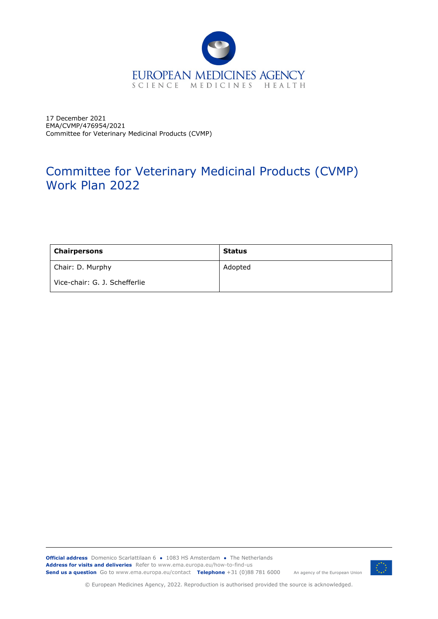

17 December 2021 EMA/CVMP/476954/2021 Committee for Veterinary Medicinal Products (CVMP)

# Committee for Veterinary Medicinal Products (CVMP) Work Plan 2022

| Chairpersons                  | <b>Status</b> |
|-------------------------------|---------------|
| Chair: D. Murphy              | Adopted       |
| Vice-chair: G. J. Schefferlie |               |

**Official address** Domenico Scarlattilaan 6 **●** 1083 HS Amsterdam **●** The Netherlands An agency of the European Union **Address for visits and deliveries** Refer to www.ema.europa.eu/how-to-find-us **Send us a question** Go to www.ema.europa.eu/contact **Telephone** +31 (0)88 781 6000



© European Medicines Agency, 2022. Reproduction is authorised provided the source is acknowledged.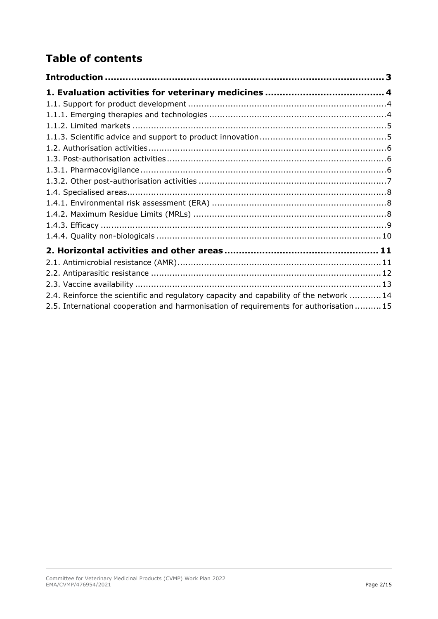# **Table of contents**

| 2.4. Reinforce the scientific and regulatory capacity and capability of the network  14 |
|-----------------------------------------------------------------------------------------|
| 2.5. International cooperation and harmonisation of requirements for authorisation 15   |
|                                                                                         |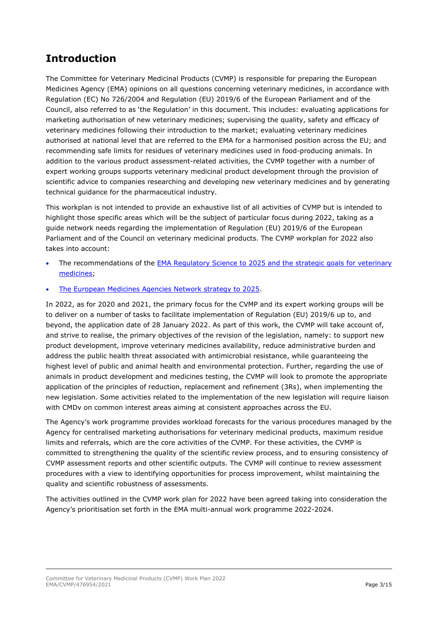# <span id="page-2-0"></span>**Introduction**

The Committee for Veterinary Medicinal Products (CVMP) is responsible for preparing the European Medicines Agency (EMA) opinions on all questions concerning veterinary medicines, in accordance with Regulation (EC) No 726/2004 and Regulation (EU) 2019/6 of the European Parliament and of the Council, also referred to as 'the Regulation' in this document. This includes: evaluating applications for marketing authorisation of new veterinary medicines; supervising the quality, safety and efficacy of veterinary medicines following their introduction to the market; evaluating veterinary medicines authorised at national level that are referred to the EMA for a harmonised position across the EU; and recommending safe limits for residues of veterinary medicines used in food-producing animals. In addition to the various product assessment-related activities, the CVMP together with a number of expert working groups supports veterinary medicinal product development through the provision of scientific advice to companies researching and developing new veterinary medicines and by generating technical guidance for the pharmaceutical industry.

This workplan is not intended to provide an exhaustive list of all activities of CVMP but is intended to highlight those specific areas which will be the subject of particular focus during 2022, taking as a guide network needs regarding the implementation of Regulation (EU) 2019/6 of the European Parliament and of the Council on veterinary medicinal products. The CVMP workplan for 2022 also takes into account:

- The recommendations of the **EMA Regulatory Science to 2025 and the strategic goals for veterinary** [medicines;](https://www.ema.europa.eu/en/documents/regulatory-procedural-guideline/ema-regulatory-science-2025-strategic-reflection_en.pdf)
- [The European Medicines Agencies Network strategy to 2025.](https://www.ema.europa.eu/en/about-us/how-we-work/european-medicines-regulatory-network/european-medicines-agencies-network-strategy)

In 2022, as for 2020 and 2021, the primary focus for the CVMP and its expert working groups will be to deliver on a number of tasks to facilitate implementation of Regulation (EU) 2019/6 up to, and beyond, the application date of 28 January 2022. As part of this work, the CVMP will take account of, and strive to realise, the primary objectives of the revision of the legislation, namely: to support new product development, improve veterinary medicines availability, reduce administrative burden and address the public health threat associated with antimicrobial resistance, while guaranteeing the highest level of public and animal health and environmental protection. Further, regarding the use of animals in product development and medicines testing, the CVMP will look to promote the appropriate application of the principles of reduction, replacement and refinement (3Rs), when implementing the new legislation. Some activities related to the implementation of the new legislation will require liaison with CMDv on common interest areas aiming at consistent approaches across the EU.

The Agency's work programme provides workload forecasts for the various procedures managed by the Agency for centralised marketing authorisations for veterinary medicinal products, maximum residue limits and referrals, which are the core activities of the CVMP. For these activities, the CVMP is committed to strengthening the quality of the scientific review process, and to ensuring consistency of CVMP assessment reports and other scientific outputs. The CVMP will continue to review assessment procedures with a view to identifying opportunities for process improvement, whilst maintaining the quality and scientific robustness of assessments.

The activities outlined in the CVMP work plan for 2022 have been agreed taking into consideration the Agency's prioritisation set forth in the EMA multi-annual work programme 2022-2024.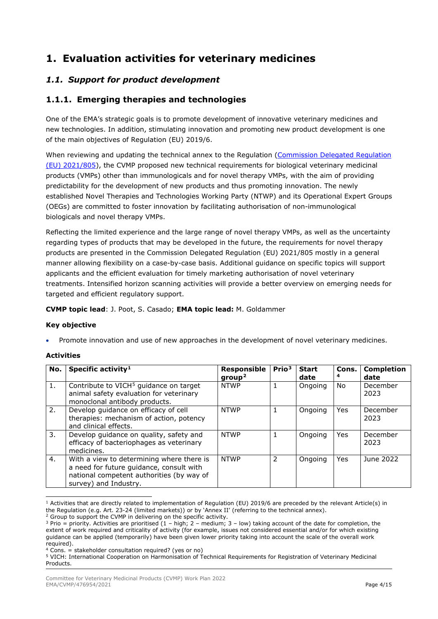# <span id="page-3-0"></span>**1. Evaluation activities for veterinary medicines**

### <span id="page-3-1"></span>*1.1. Support for product development*

### <span id="page-3-2"></span>**1.1.1. Emerging therapies and technologies**

One of the EMA's strategic goals is to promote development of innovative veterinary medicines and new technologies. In addition, stimulating innovation and promoting new product development is one of the main objectives of Regulation (EU) 2019/6.

When reviewing and updating the technical annex to the Regulation (Commission Delegated Regulation [\(EU\) 2021/805\)](https://eur-lex.europa.eu/eli/reg_del/2021/805/oj), the CVMP proposed new technical requirements for biological veterinary medicinal products (VMPs) other than immunologicals and for novel therapy VMPs, with the aim of providing predictability for the development of new products and thus promoting innovation. The newly established Novel Therapies and Technologies Working Party (NTWP) and its Operational Expert Groups (OEGs) are committed to foster innovation by facilitating authorisation of non-immunological biologicals and novel therapy VMPs.

Reflecting the limited experience and the large range of novel therapy VMPs, as well as the uncertainty regarding types of products that may be developed in the future, the requirements for novel therapy products are presented in the Commission Delegated Regulation (EU) 2021/805 mostly in a general manner allowing flexibility on a case-by-case basis. Additional guidance on specific topics will support applicants and the efficient evaluation for timely marketing authorisation of novel veterinary treatments. Intensified horizon scanning activities will provide a better overview on emerging needs for targeted and efficient regulatory support.

#### **CVMP topic lead**: J. Poot, S. Casado; **EMA topic lead:** M. Goldammer

#### **Key objective**

• Promote innovation and use of new approaches in the development of novel veterinary medicines.

| No. | Specific activity <sup>1</sup>                                                                                                                              | Responsible<br>group <sup>2</sup> | Prio <sup>3</sup> | <b>Start</b><br>date | Cons.<br>4 | <b>Completion</b><br>date |
|-----|-------------------------------------------------------------------------------------------------------------------------------------------------------------|-----------------------------------|-------------------|----------------------|------------|---------------------------|
| 1.  | Contribute to VICH <sup>5</sup> guidance on target<br>animal safety evaluation for veterinary<br>monoclonal antibody products.                              | <b>NTWP</b>                       | 1                 | Ongoing              | No.        | December<br>2023          |
| 2.  | Develop quidance on efficacy of cell<br>therapies: mechanism of action, potency<br>and clinical effects.                                                    | <b>NTWP</b>                       | 1                 | Ongoing              | <b>Yes</b> | December<br>2023          |
| 3.  | Develop guidance on quality, safety and<br>efficacy of bacteriophages as veterinary<br>medicines.                                                           | <b>NTWP</b>                       | 1                 | Ongoing              | <b>Yes</b> | December<br>2023          |
| 4.  | With a view to determining where there is<br>a need for future guidance, consult with<br>national competent authorities (by way of<br>survey) and Industry. | <b>NTWP</b>                       | 2                 | Ongoing              | <b>Yes</b> | June 2022                 |

<span id="page-3-3"></span> $1$  Activities that are directly related to implementation of Regulation (EU) 2019/6 are preceded by the relevant Article(s) in the Regulation (e.g. Art. 23-24 (limited markets)) or by 'Annex II' (referring to the technical annex).

<span id="page-3-4"></span> $2$  Group to support the CVMP in delivering on the specific activity.

<span id="page-3-5"></span> $3$  Prio = priority. Activities are prioritised (1 – high; 2 – medium; 3 – low) taking account of the date for completion, the extent of work required and criticality of activity (for example, issues not considered essential and/or for which existing guidance can be applied (temporarily) have been given lower priority taking into account the scale of the overall work required).

<span id="page-3-6"></span><sup>4</sup> Cons. = stakeholder consultation required? (yes or no)

<span id="page-3-7"></span><sup>5</sup> VICH: International Cooperation on Harmonisation of Technical Requirements for Registration of Veterinary Medicinal **Products**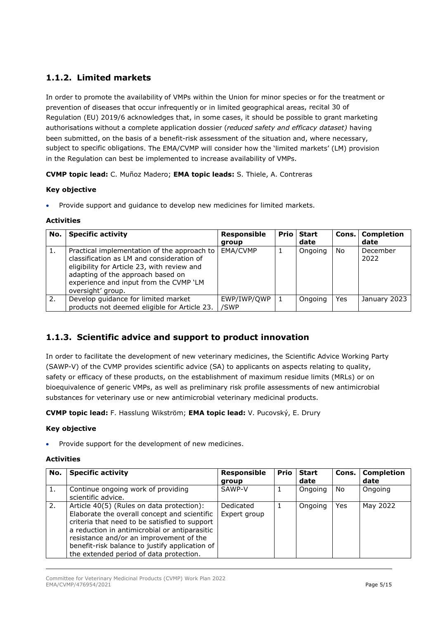# <span id="page-4-0"></span>**1.1.2. Limited markets**

In order to promote the availability of VMPs within the Union for minor species or for the treatment or prevention of diseases that occur infrequently or in limited geographical areas, recital 30 of Regulation (EU) 2019/6 acknowledges that, in some cases, it should be possible to grant marketing authorisations without a complete application dossier (*reduced safety and efficacy dataset)* having been submitted, on the basis of a benefit-risk assessment of the situation and, where necessary, subject to specific obligations. The EMA/CVMP will consider how the 'limited markets' (LM) provision in the Regulation can best be implemented to increase availability of VMPs.

**CVMP topic lead:** C. Muñoz Madero; **EMA topic leads:** S. Thiele, A. Contreras

#### **Key objective**

• Provide support and guidance to develop new medicines for limited markets.

#### **Activities**

| No. | <b>Specific activity</b>                                                                                                                                                                                                                    | <b>Responsible</b><br>group | <b>Prio Start</b><br>date |     | Cons.   Completion<br>date |
|-----|---------------------------------------------------------------------------------------------------------------------------------------------------------------------------------------------------------------------------------------------|-----------------------------|---------------------------|-----|----------------------------|
| 1.  | Practical implementation of the approach to<br>classification as LM and consideration of<br>eligibility for Article 23, with review and<br>adapting of the approach based on<br>experience and input from the CVMP 'LM<br>oversight' group. | EMA/CVMP                    | Ongoing                   | No  | December<br>2022           |
| 2.  | Develop guidance for limited market<br>products not deemed eligible for Article 23.                                                                                                                                                         | EWP/IWP/OWP<br>/SWP         | Ongoing                   | Yes | January 2023               |

## <span id="page-4-1"></span>**1.1.3. Scientific advice and support to product innovation**

In order to facilitate the development of new veterinary medicines, the Scientific Advice Working Party (SAWP-V) of the CVMP provides scientific advice (SA) to applicants on aspects relating to quality, safety or efficacy of these products, on the establishment of maximum residue limits (MRLs) or on bioequivalence of generic VMPs, as well as preliminary risk profile assessments of new antimicrobial substances for veterinary use or new antimicrobial veterinary medicinal products.

**CVMP topic lead:** F. Hasslung Wikström; **EMA topic lead:** V. Pucovský, E. Drury

#### **Key objective**

Provide support for the development of new medicines.

| No. | <b>Specific activity</b>                                                                                                                                                                                                                                                                                                            | <b>Responsible</b><br>group | <b>Prio</b> | <b>Start</b><br>date | Cons. | <b>Completion</b><br>date |
|-----|-------------------------------------------------------------------------------------------------------------------------------------------------------------------------------------------------------------------------------------------------------------------------------------------------------------------------------------|-----------------------------|-------------|----------------------|-------|---------------------------|
| 1.  | Continue ongoing work of providing<br>scientific advice.                                                                                                                                                                                                                                                                            | SAWP-V                      |             | Ongoing              | No.   | Ongoing                   |
| 2.  | Article 40(5) (Rules on data protection):<br>Elaborate the overall concept and scientific<br>criteria that need to be satisfied to support<br>a reduction in antimicrobial or antiparasitic<br>resistance and/or an improvement of the<br>benefit-risk balance to justify application of<br>the extended period of data protection. | Dedicated<br>Expert group   |             | Ongoing              | Yes   | May 2022                  |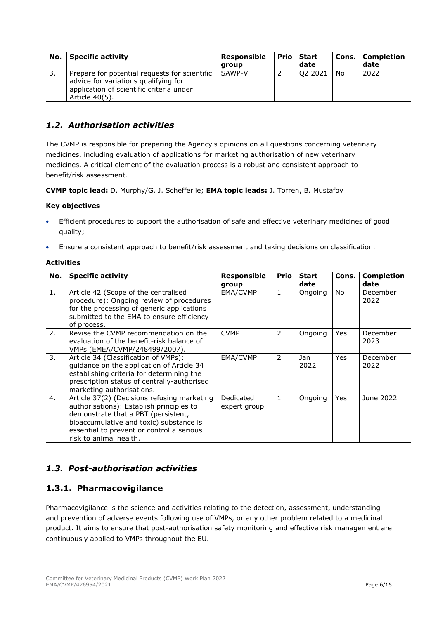| No. | <b>Specific activity</b>                                                                                                                            | Responsible | I Prio   Start | Cons. | Completion |
|-----|-----------------------------------------------------------------------------------------------------------------------------------------------------|-------------|----------------|-------|------------|
|     |                                                                                                                                                     | aroup       | date           |       | date       |
| -3. | Prepare for potential requests for scientific<br>advice for variations qualifying for<br>application of scientific criteria under<br>Article 40(5). | SAWP-V      | Q2 2021        | No    | 2022       |

### <span id="page-5-0"></span>*1.2. Authorisation activities*

The CVMP is responsible for preparing the Agency's opinions on all questions concerning veterinary medicines, including evaluation of applications for marketing authorisation of new veterinary medicines. A critical element of the evaluation process is a robust and consistent approach to benefit/risk assessment.

**CVMP topic lead:** D. Murphy/G. J. Schefferlie; **EMA topic leads:** J. Torren, B. Mustafov

#### **Key objectives**

- Efficient procedures to support the authorisation of safe and effective veterinary medicines of good quality;
- Ensure a consistent approach to benefit/risk assessment and taking decisions on classification.

#### **Activities**

| No. | <b>Specific activity</b>                                                                                                                                                                                                                         | Responsible<br>group      | <b>Prio</b>  | <b>Start</b><br>date | Cons.      | <b>Completion</b><br>date |
|-----|--------------------------------------------------------------------------------------------------------------------------------------------------------------------------------------------------------------------------------------------------|---------------------------|--------------|----------------------|------------|---------------------------|
| 1.  | Article 42 (Scope of the centralised<br>procedure): Ongoing review of procedures<br>for the processing of generic applications<br>submitted to the EMA to ensure efficiency<br>of process.                                                       | EMA/CVMP                  | 1            | Ongoing              | No.        | December<br>2022          |
| 2.  | Revise the CVMP recommendation on the<br>evaluation of the benefit-risk balance of<br>VMPs (EMEA/CVMP/248499/2007).                                                                                                                              | <b>CVMP</b>               | 2            | Ongoing              | Yes        | December<br>2023          |
| 3.  | Article 34 (Classification of VMPs):<br>guidance on the application of Article 34<br>establishing criteria for determining the<br>prescription status of centrally-authorised<br>marketing authorisations.                                       | EMA/CVMP                  | 2            | Jan<br>2022          | <b>Yes</b> | December<br>2022          |
| 4.  | Article 37(2) (Decisions refusing marketing<br>authorisations): Establish principles to<br>demonstrate that a PBT (persistent,<br>bioaccumulative and toxic) substance is<br>essential to prevent or control a serious<br>risk to animal health. | Dedicated<br>expert group | $\mathbf{1}$ | Ongoing              | Yes        | June 2022                 |

## <span id="page-5-1"></span>*1.3. Post-authorisation activities*

### <span id="page-5-2"></span>**1.3.1. Pharmacovigilance**

Pharmacovigilance is the science and activities relating to the detection, assessment, understanding and prevention of adverse events following use of VMPs, or any other problem related to a medicinal product. It aims to ensure that post-authorisation safety monitoring and effective risk management are continuously applied to VMPs throughout the EU.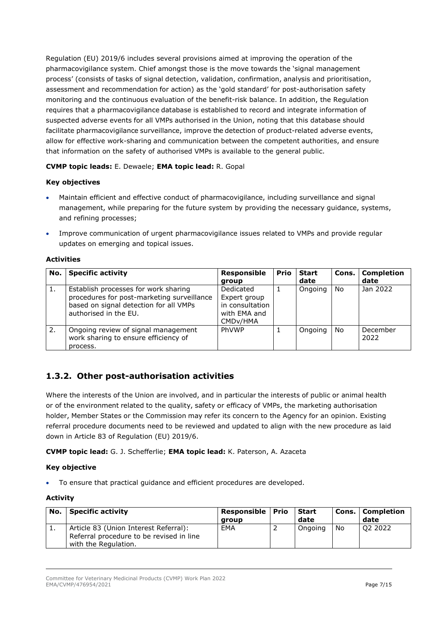Regulation (EU) 2019/6 includes several provisions aimed at improving the operation of the pharmacovigilance system. Chief amongst those is the move towards the 'signal management process' (consists of tasks of signal detection, validation, confirmation, analysis and prioritisation, assessment and recommendation for action) as the 'gold standard' for post-authorisation safety monitoring and the continuous evaluation of the benefit-risk balance. In addition, the Regulation requires that a pharmacovigilance database is established to record and integrate information of suspected adverse events for all VMPs authorised in the Union, noting that this database should facilitate pharmacovigilance surveillance, improve the detection of product-related adverse events, allow for effective work-sharing and communication between the competent authorities, and ensure that information on the safety of authorised VMPs is available to the general public.

#### **CVMP topic leads:** E. Dewaele; **EMA topic lead:** R. Gopal

#### **Key objectives**

- Maintain efficient and effective conduct of pharmacovigilance, including surveillance and signal management, while preparing for the future system by providing the necessary guidance, systems, and refining processes;
- Improve communication of urgent pharmacovigilance issues related to VMPs and provide regular updates on emerging and topical issues.

#### **Activities**

| No. | Specific activity                                                                                                                                     | Responsible<br>group                                                                  | <b>Prio</b> | <b>Start</b><br>date |    | Cons.   Completion<br>date |
|-----|-------------------------------------------------------------------------------------------------------------------------------------------------------|---------------------------------------------------------------------------------------|-------------|----------------------|----|----------------------------|
| 1.  | Establish processes for work sharing<br>procedures for post-marketing surveillance<br>based on signal detection for all VMPs<br>authorised in the EU. | Dedicated<br>Expert group<br>in consultation<br>with EMA and<br>CMD <sub>v</sub> /HMA |             | Ongoing              | No | Jan 2022                   |
| 2.  | Ongoing review of signal management<br>work sharing to ensure efficiency of<br>process.                                                               | PhVWP                                                                                 |             | Ongoing              | No | December<br>2022           |

## <span id="page-6-0"></span>**1.3.2. Other post-authorisation activities**

Where the interests of the Union are involved, and in particular the interests of public or animal health or of the environment related to the quality, safety or efficacy of VMPs, the marketing authorisation holder, Member States or the Commission may refer its concern to the Agency for an opinion. Existing referral procedure documents need to be reviewed and updated to align with the new procedure as laid down in Article 83 of Regulation (EU) 2019/6.

**CVMP topic lead:** G. J. Schefferlie; **EMA topic lead:** K. Paterson, A. Azaceta

#### **Key objective**

• To ensure that practical guidance and efficient procedures are developed.

#### **Activity**

| No.      | <b>Specific activity</b>                                                                                  | Responsible   Prio<br>aroup | l Start<br>date |    | <b>Cons.   Completion</b><br>date |
|----------|-----------------------------------------------------------------------------------------------------------|-----------------------------|-----------------|----|-----------------------------------|
| <b>.</b> | Article 83 (Union Interest Referral):<br>Referral procedure to be revised in line<br>with the Regulation. | EMA                         | Ongoing         | No | Q <sub>2</sub> 2022               |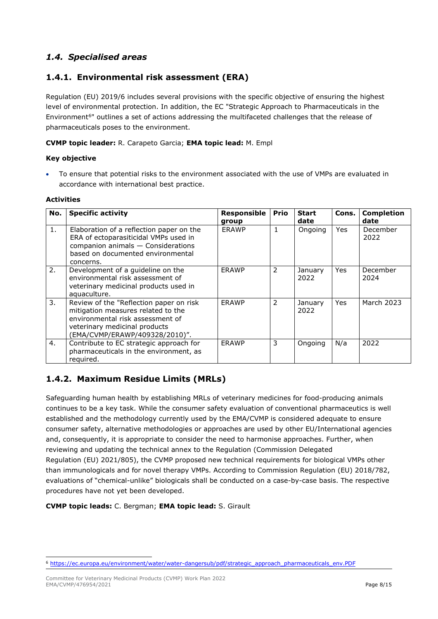## <span id="page-7-0"></span>*1.4. Specialised areas*

### <span id="page-7-1"></span>**1.4.1. Environmental risk assessment (ERA)**

Regulation (EU) 2019/6 includes several provisions with the specific objective of ensuring the highest level of environmental protection. In addition, the EC "Strategic Approach to Pharmaceuticals in the Environment<sup>6</sup>" outlines a set of actions addressing the multifaceted challenges that the release of pharmaceuticals poses to the environment.

#### **CVMP topic leader:** R. Carapeto Garcia; **EMA topic lead:** M. Empl

#### **Key objective**

• To ensure that potential risks to the environment associated with the use of VMPs are evaluated in accordance with international best practice.

#### **Activities**

| No. | <b>Specific activity</b>                                                                                                                                                             | Responsible<br>group | <b>Prio</b> | <b>Start</b><br>date | Cons.      | <b>Completion</b><br>date |
|-----|--------------------------------------------------------------------------------------------------------------------------------------------------------------------------------------|----------------------|-------------|----------------------|------------|---------------------------|
| 1.  | Elaboration of a reflection paper on the<br>ERA of ectoparasiticidal VMPs used in<br>companion animals - Considerations<br>based on documented environmental<br>concerns.            | <b>ERAWP</b>         |             | Ongoing              | <b>Yes</b> | December<br>2022          |
| 2.  | Development of a guideline on the<br>environmental risk assessment of<br>veterinary medicinal products used in<br>aquaculture.                                                       | ERAWP                | 2           | January<br>2022      | Yes        | December<br>2024          |
| 3.  | Review of the "Reflection paper on risk<br>mitigation measures related to the<br>environmental risk assessment of<br>veterinary medicinal products<br>(EMA/CVMP/ERAWP/409328/2010)". | <b>ERAWP</b>         | 2           | January<br>2022      | Yes        | March 2023                |
| 4.  | Contribute to EC strategic approach for<br>pharmaceuticals in the environment, as<br>required.                                                                                       | <b>ERAWP</b>         | 3           | Ongoing              | N/a        | 2022                      |

## <span id="page-7-2"></span>**1.4.2. Maximum Residue Limits (MRLs)**

Safeguarding human health by establishing MRLs of veterinary medicines for food-producing animals continues to be a key task. While the consumer safety evaluation of conventional pharmaceutics is well established and the methodology currently used by the EMA/CVMP is considered adequate to ensure consumer safety, alternative methodologies or approaches are used by other EU/International agencies and, consequently, it is appropriate to consider the need to harmonise approaches. Further, when reviewing and updating the technical annex to the Regulation (Commission Delegated Regulation (EU) 2021/805), the CVMP proposed new technical requirements for biological VMPs other than immunologicals and for novel therapy VMPs. According to Commission Regulation (EU) 2018/782, evaluations of "chemical-unlike" biologicals shall be conducted on a case-by-case basis. The respective procedures have not yet been developed.

#### **CVMP topic leads:** C. Bergman; **EMA topic lead:** S. Girault

<span id="page-7-3"></span><sup>6</sup> [https://ec.europa.eu/environment/water/water-dangersub/pdf/strategic\\_approach\\_pharmaceuticals\\_env.PDF](https://ec.europa.eu/environment/water/water-dangersub/pdf/strategic_approach_pharmaceuticals_env.PDF)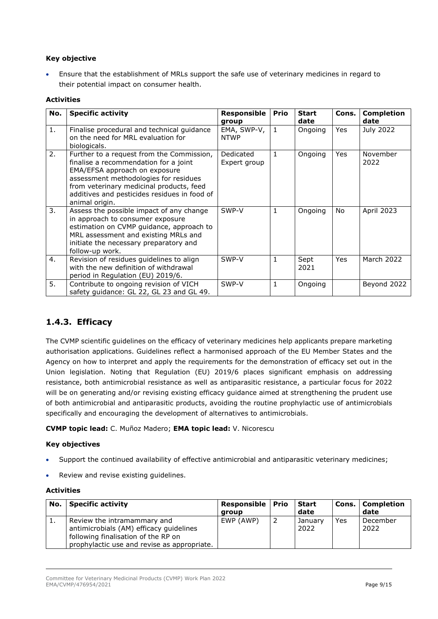#### **Key objective**

• Ensure that the establishment of MRLs support the safe use of veterinary medicines in regard to their potential impact on consumer health.

#### **Activities**

| No. | <b>Specific activity</b>                                                                                                                                                                                                                                                   | Responsible<br>group       | <b>Prio</b>  | <b>Start</b><br>date | Cons. | <b>Completion</b><br>date |
|-----|----------------------------------------------------------------------------------------------------------------------------------------------------------------------------------------------------------------------------------------------------------------------------|----------------------------|--------------|----------------------|-------|---------------------------|
| 1.  | Finalise procedural and technical guidance<br>on the need for MRL evaluation for<br>biologicals.                                                                                                                                                                           | EMA, SWP-V,<br><b>NTWP</b> | $\mathbf{1}$ | Ongoing              | Yes   | July 2022                 |
| 2.  | Further to a request from the Commission,<br>finalise a recommendation for a joint<br>EMA/EFSA approach on exposure<br>assessment methodologies for residues<br>from veterinary medicinal products, feed<br>additives and pesticides residues in food of<br>animal origin. | Dedicated<br>Expert group  | $\mathbf{1}$ | Ongoing              | Yes   | November<br>2022          |
| 3.  | Assess the possible impact of any change<br>in approach to consumer exposure<br>estimation on CVMP guidance, approach to<br>MRL assessment and existing MRLs and<br>initiate the necessary preparatory and<br>follow-up work.                                              | SWP-V                      | 1            | Ongoing              | No    | April 2023                |
| 4.  | Revision of residues guidelines to align<br>with the new definition of withdrawal<br>period in Regulation (EU) 2019/6.                                                                                                                                                     | SWP-V                      | $\mathbf{1}$ | Sept<br>2021         | Yes   | March 2022                |
| 5.  | Contribute to ongoing revision of VICH<br>safety guidance: GL 22, GL 23 and GL 49.                                                                                                                                                                                         | SWP-V                      | $\mathbf{1}$ | Ongoing              |       | Beyond 2022               |

### <span id="page-8-0"></span>**1.4.3. Efficacy**

The CVMP scientific guidelines on the efficacy of veterinary medicines help applicants prepare marketing authorisation applications. Guidelines reflect a harmonised approach of the EU Member States and the Agency on how to interpret and apply the requirements for the demonstration of efficacy set out in the Union legislation. Noting that Regulation (EU) 2019/6 places significant emphasis on addressing resistance, both antimicrobial resistance as well as antiparasitic resistance, a particular focus for 2022 will be on generating and/or revising existing efficacy guidance aimed at strengthening the prudent use of both antimicrobial and antiparasitic products, avoiding the routine prophylactic use of antimicrobials specifically and encouraging the development of alternatives to antimicrobials.

**CVMP topic lead:** C. Muñoz Madero; **EMA topic lead:** V. Nicorescu

#### **Key objectives**

- Support the continued availability of effective antimicrobial and antiparasitic veterinary medicines;
- Review and revise existing guidelines.

| No. | <b>Specific activity</b>                                                                                                                                     | Responsible   Prio<br>aroup | Start<br>date   |     | Cons.   Completion<br>date |
|-----|--------------------------------------------------------------------------------------------------------------------------------------------------------------|-----------------------------|-----------------|-----|----------------------------|
| エ.  | Review the intramammary and<br>antimicrobials (AM) efficacy quidelines<br>following finalisation of the RP on<br>prophylactic use and revise as appropriate. | EWP (AWP)                   | January<br>2022 | Yes | December<br>2022           |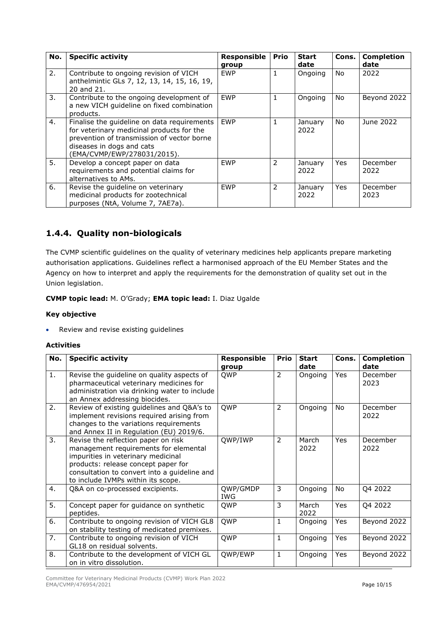| No. | <b>Specific activity</b>                                                                                                                                                                           | <b>Responsible</b><br>group | <b>Prio</b>  | <b>Start</b><br>date | Cons.      | <b>Completion</b><br>date |
|-----|----------------------------------------------------------------------------------------------------------------------------------------------------------------------------------------------------|-----------------------------|--------------|----------------------|------------|---------------------------|
| 2.  | Contribute to ongoing revision of VICH<br>anthelmintic GLs 7, 12, 13, 14, 15, 16, 19,<br>20 and 21.                                                                                                | <b>EWP</b>                  | $\mathbf{1}$ | Ongoing              | <b>No</b>  | 2022                      |
| 3.  | Contribute to the ongoing development of<br>a new VICH quideline on fixed combination<br>products.                                                                                                 | <b>EWP</b>                  | $\mathbf{1}$ | Ongoing              | No.        | Beyond 2022               |
| 4.  | Finalise the quideline on data requirements<br>for veterinary medicinal products for the<br>prevention of transmission of vector borne<br>diseases in dogs and cats<br>(EMA/CVMP/EWP/278031/2015). | <b>EWP</b>                  | $\mathbf{1}$ | January<br>2022      | No.        | June 2022                 |
| 5.  | Develop a concept paper on data<br>requirements and potential claims for<br>alternatives to AMs.                                                                                                   | <b>EWP</b>                  | 2            | January<br>2022      | Yes        | December<br>2022          |
| 6.  | Revise the quideline on veterinary<br>medicinal products for zootechnical<br>purposes (NtA, Volume 7, 7AE7a).                                                                                      | <b>EWP</b>                  | 2            | January<br>2022      | <b>Yes</b> | December<br>2023          |

# <span id="page-9-0"></span>**1.4.4. Quality non-biologicals**

The CVMP scientific guidelines on the quality of veterinary medicines help applicants prepare marketing authorisation applications. Guidelines reflect a harmonised approach of the EU Member States and the Agency on how to interpret and apply the requirements for the demonstration of quality set out in the Union legislation.

**CVMP topic lead:** M. O'Grady; **EMA topic lead:** I. Diaz Ugalde

#### **Key objective**

• Review and revise existing guidelines

| No. | <b>Specific activity</b>                                                                                                                                                                                                                        | <b>Responsible</b><br>group | <b>Prio</b>    | <b>Start</b><br>date | Cons.      | <b>Completion</b><br>date |
|-----|-------------------------------------------------------------------------------------------------------------------------------------------------------------------------------------------------------------------------------------------------|-----------------------------|----------------|----------------------|------------|---------------------------|
| 1.  | Revise the guideline on quality aspects of<br>pharmaceutical veterinary medicines for<br>administration via drinking water to include<br>an Annex addressing biocides.                                                                          | <b>QWP</b>                  | 2              | Ongoing              | Yes        | December<br>2023          |
| 2.  | Review of existing guidelines and Q&A's to<br>implement revisions required arising from<br>changes to the variations requirements<br>and Annex II in Regulation (EU) 2019/6.                                                                    | QWP                         | 2              | Ongoing              | No         | December<br>2022          |
| 3.  | Revise the reflection paper on risk<br>management requirements for elemental<br>impurities in veterinary medicinal<br>products: release concept paper for<br>consultation to convert into a guideline and<br>to include IVMPs within its scope. | QWP/IWP                     | $\overline{2}$ | March<br>2022        | <b>Yes</b> | December<br>2022          |
| 4.  | Q&A on co-processed excipients.                                                                                                                                                                                                                 | QWP/GMDP<br>IWG             | 3              | Ongoing              | No.        | Q4 2022                   |
| 5.  | Concept paper for guidance on synthetic<br>peptides.                                                                                                                                                                                            | QWP                         | 3              | March<br>2022        | <b>Yes</b> | Q4 2022                   |
| 6.  | Contribute to ongoing revision of VICH GL8<br>on stability testing of medicated premixes.                                                                                                                                                       | QWP                         | $\mathbf{1}$   | Ongoing              | Yes        | Beyond 2022               |
| 7.  | Contribute to ongoing revision of VICH<br>GL18 on residual solvents.                                                                                                                                                                            | QWP                         | $\mathbf{1}$   | Ongoing              | Yes        | Beyond 2022               |
| 8.  | Contribute to the development of VICH GL<br>on in vitro dissolution.                                                                                                                                                                            | QWP/EWP                     | $\mathbf{1}$   | Ongoing              | Yes        | Beyond 2022               |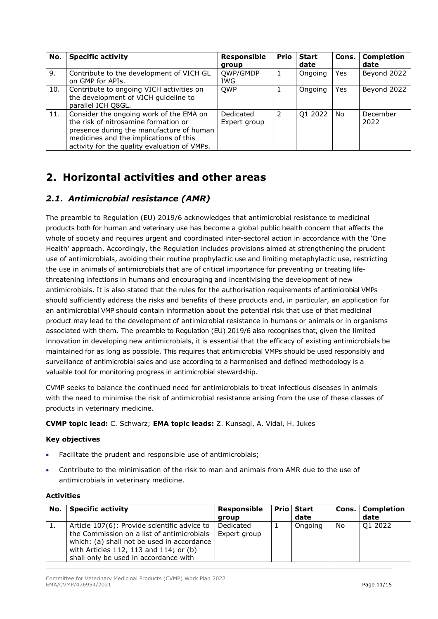| No. | <b>Specific activity</b>                                                                                                                                                                                              | Responsible               | <b>Prio</b> | <b>Start</b> | Cons. | <b>Completion</b> |
|-----|-----------------------------------------------------------------------------------------------------------------------------------------------------------------------------------------------------------------------|---------------------------|-------------|--------------|-------|-------------------|
|     |                                                                                                                                                                                                                       | group                     |             | date         |       | date              |
| 9.  | Contribute to the development of VICH GL<br>on GMP for APIs.                                                                                                                                                          | QWP/GMDP<br><b>IWG</b>    |             | Ongoing      | Yes   | Beyond 2022       |
| 10. | Contribute to ongoing VICH activities on<br>the development of VICH guideline to<br>parallel ICH Q8GL.                                                                                                                | <b>OWP</b>                |             | Ongoing      | Yes   | Beyond 2022       |
| 11. | Consider the ongoing work of the EMA on<br>the risk of nitrosamine formation or<br>presence during the manufacture of human<br>medicines and the implications of this<br>activity for the quality evaluation of VMPs. | Dedicated<br>Expert group | 2           | Q1 2022      | No    | December<br>2022  |

# <span id="page-10-0"></span>**2. Horizontal activities and other areas**

## <span id="page-10-1"></span>*2.1. Antimicrobial resistance (AMR)*

The preamble to Regulation (EU) 2019/6 acknowledges that antimicrobial resistance to medicinal products both for human and veterinary use has become a global public health concern that affects the whole of society and requires urgent and coordinated inter-sectoral action in accordance with the 'One Health' approach. Accordingly, the Regulation includes provisions aimed at strengthening the prudent use of antimicrobials, avoiding their routine prophylactic use and limiting metaphylactic use, restricting the use in animals of antimicrobials that are of critical importance for preventing or treating lifethreatening infections in humans and encouraging and incentivising the development of new antimicrobials. It is also stated that the rules for the authorisation requirements of antimicrobial VMPs should sufficiently address the risks and benefits of these products and, in particular, an application for an antimicrobial VMP should contain information about the potential risk that use of that medicinal product may lead to the development of antimicrobial resistance in humans or animals or in organisms associated with them. The preamble to Regulation (EU) 2019/6 also recognises that, given the limited innovation in developing new antimicrobials, it is essential that the efficacy of existing antimicrobials be maintained for as long as possible. This requires that antimicrobial VMPs should be used responsibly and surveillance of antimicrobial sales and use according to a harmonised and defined methodology is a valuable tool for monitoring progress in antimicrobial stewardship.

CVMP seeks to balance the continued need for antimicrobials to treat infectious diseases in animals with the need to minimise the risk of antimicrobial resistance arising from the use of these classes of products in veterinary medicine.

**CVMP topic lead:** C. Schwarz; **EMA topic leads:** Z. Kunsagi, A. Vidal, H. Jukes

#### **Key objectives**

- Facilitate the prudent and responsible use of antimicrobials;
- Contribute to the minimisation of the risk to man and animals from AMR due to the use of antimicrobials in veterinary medicine.

| No. | <b>Specific activity</b>                                                                                                                                                                                                    | <b>Responsible</b><br>group | <b>Prio Start</b><br>date | Cons. | <b>Completion</b><br>date |
|-----|-----------------------------------------------------------------------------------------------------------------------------------------------------------------------------------------------------------------------------|-----------------------------|---------------------------|-------|---------------------------|
| ι.  | Article 107(6): Provide scientific advice to<br>the Commission on a list of antimicrobials<br>which: (a) shall not be used in accordance<br>with Articles 112, 113 and 114; or (b)<br>shall only be used in accordance with | Dedicated<br>Expert group   | Ongoing                   | No    | Q1 2022                   |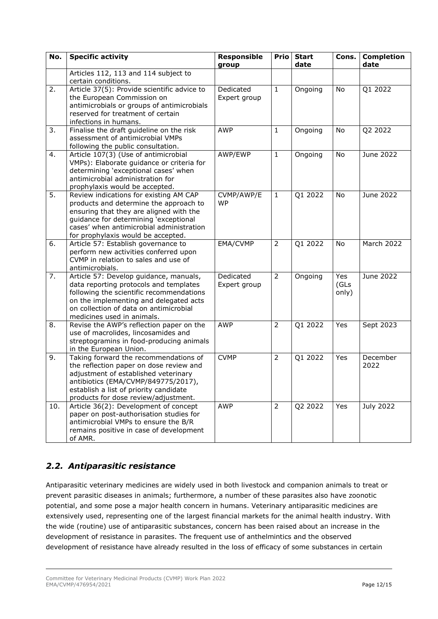| No. | <b>Specific activity</b>                                                                                                                                                                                                                               | <b>Responsible</b><br>group | <b>Prio</b>    | <b>Start</b><br>date | Cons.                | <b>Completion</b><br>date |
|-----|--------------------------------------------------------------------------------------------------------------------------------------------------------------------------------------------------------------------------------------------------------|-----------------------------|----------------|----------------------|----------------------|---------------------------|
|     | Articles 112, 113 and 114 subject to<br>certain conditions.                                                                                                                                                                                            |                             |                |                      |                      |                           |
| 2.  | Article 37(5): Provide scientific advice to<br>the European Commission on<br>antimicrobials or groups of antimicrobials<br>reserved for treatment of certain<br>infections in humans.                                                                  | Dedicated<br>Expert group   | $\mathbf{1}$   | Ongoing              | No                   | Q1 2022                   |
| 3.  | Finalise the draft guideline on the risk<br>assessment of antimicrobial VMPs<br>following the public consultation.                                                                                                                                     | <b>AWP</b>                  | $\mathbf{1}$   | Ongoing              | No                   | Q2 2022                   |
| 4.  | Article 107(3) (Use of antimicrobial<br>VMPs): Elaborate guidance or criteria for<br>determining 'exceptional cases' when<br>antimicrobial administration for<br>prophylaxis would be accepted.                                                        | AWP/EWP                     | $\mathbf{1}$   | Ongoing              | No                   | June 2022                 |
| 5.  | Review indications for existing AM CAP<br>products and determine the approach to<br>ensuring that they are aligned with the<br>guidance for determining 'exceptional<br>cases' when antimicrobial administration<br>for prophylaxis would be accepted. | CVMP/AWP/E<br><b>WP</b>     | $\mathbf{1}$   | Q1 2022              | No                   | June 2022                 |
| 6.  | Article 57: Establish governance to<br>perform new activities conferred upon<br>CVMP in relation to sales and use of<br>antimicrobials.                                                                                                                | EMA/CVMP                    | $\overline{2}$ | Q1 2022              | No                   | March 2022                |
| 7.  | Article 57: Develop guidance, manuals,<br>data reporting protocols and templates<br>following the scientific recommendations<br>on the implementing and delegated acts<br>on collection of data on antimicrobial<br>medicines used in animals.         | Dedicated<br>Expert group   | $\overline{2}$ | Ongoing              | Yes<br>(GLs<br>only) | June 2022                 |
| 8.  | Revise the AWP's reflection paper on the<br>use of macrolides, lincosamides and<br>streptogramins in food-producing animals<br>in the European Union.                                                                                                  | <b>AWP</b>                  | $\overline{2}$ | Q1 2022              | Yes                  | Sept 2023                 |
| 9.  | Taking forward the recommendations of<br>the reflection paper on dose review and<br>adjustment of established veterinary<br>antibiotics (EMA/CVMP/849775/2017),<br>establish a list of priority candidate<br>products for dose review/adjustment.      | <b>CVMP</b>                 | 2              | Q1 2022              | Yes                  | December<br>2022          |
| 10. | Article 36(2): Development of concept<br>paper on post-authorisation studies for<br>antimicrobial VMPs to ensure the B/R<br>remains positive in case of development<br>of AMR.                                                                         | <b>AWP</b>                  | $\overline{2}$ | Q2 2022              | Yes                  | July 2022                 |

# <span id="page-11-0"></span>*2.2. Antiparasitic resistance*

Antiparasitic veterinary medicines are widely used in both livestock and companion animals to treat or prevent parasitic diseases in animals; furthermore, a number of these parasites also have zoonotic potential, and some pose a major health concern in humans. Veterinary antiparasitic medicines are extensively used, representing one of the largest financial markets for the animal health industry. With the wide (routine) use of antiparasitic substances, concern has been raised about an increase in the development of resistance in parasites. The frequent use of anthelmintics and the observed development of resistance have already resulted in the loss of efficacy of some substances in certain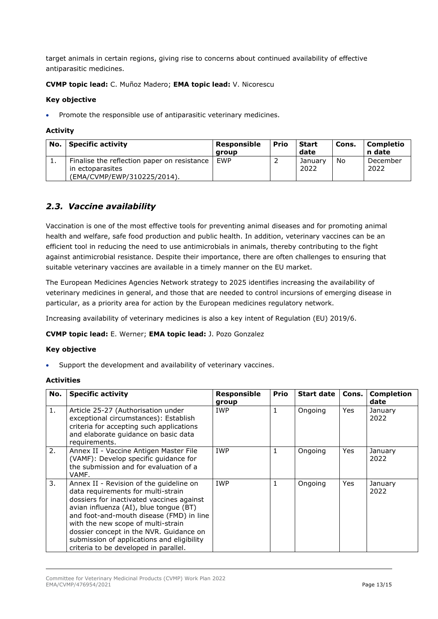target animals in certain regions, giving rise to concerns about continued availability of effective antiparasitic medicines.

#### **CVMP topic lead:** C. Muñoz Madero; **EMA topic lead:** V. Nicorescu

#### **Key objective**

• Promote the responsible use of antiparasitic veterinary medicines.

#### **Activity**

| No.      | <b>Specific activity</b>                                                                       | Responsible<br>aroup | <b>Prio</b> | <b>Start</b><br>date | Cons. | Completio<br>n date |
|----------|------------------------------------------------------------------------------------------------|----------------------|-------------|----------------------|-------|---------------------|
| <b>.</b> | Finalise the reflection paper on resistance<br>in ectoparasites<br>(EMA/CVMP/EWP/310225/2014). | <b>FWP</b>           |             | Januarv<br>2022      | No    | December<br>2022    |

### <span id="page-12-0"></span>*2.3. Vaccine availability*

Vaccination is one of the most effective tools for preventing animal diseases and for promoting animal health and welfare, safe food production and public health. In addition, veterinary vaccines can be an efficient tool in reducing the need to use antimicrobials in animals, thereby contributing to the fight against antimicrobial resistance. Despite their importance, there are often challenges to ensuring that suitable veterinary vaccines are available in a timely manner on the EU market.

The European Medicines Agencies Network strategy to 2025 identifies increasing the availability of veterinary medicines in general, and those that are needed to control incursions of emerging disease in particular, as a priority area for action by the European medicines regulatory network.

Increasing availability of veterinary medicines is also a key intent of Regulation (EU) 2019/6.

#### **CVMP topic lead:** E. Werner; **EMA topic lead:** J. Pozo Gonzalez

#### **Key objective**

Support the development and availability of veterinary vaccines.

| No. | <b>Specific activity</b>                                                                                                                                                                                                                                                                                                                                                                 | Responsible<br>group | <b>Prio</b> | <b>Start date</b> | Cons.      | <b>Completion</b><br>date |
|-----|------------------------------------------------------------------------------------------------------------------------------------------------------------------------------------------------------------------------------------------------------------------------------------------------------------------------------------------------------------------------------------------|----------------------|-------------|-------------------|------------|---------------------------|
| 1.  | Article 25-27 (Authorisation under<br>exceptional circumstances): Establish<br>criteria for accepting such applications<br>and elaborate guidance on basic data<br>requirements.                                                                                                                                                                                                         | <b>IWP</b>           | 1           | Ongoing           | <b>Yes</b> | January<br>2022           |
| 2.  | Annex II - Vaccine Antigen Master File<br>(VAMF): Develop specific quidance for<br>the submission and for evaluation of a<br>VAMF.                                                                                                                                                                                                                                                       | <b>IWP</b>           | 1           | Ongoing           | Yes        | January<br>2022           |
| 3.  | Annex II - Revision of the guideline on<br>data requirements for multi-strain<br>dossiers for inactivated vaccines against<br>avian influenza (AI), blue tongue (BT)<br>and foot-and-mouth disease (FMD) in line<br>with the new scope of multi-strain<br>dossier concept in the NVR. Guidance on<br>submission of applications and eligibility<br>criteria to be developed in parallel. | <b>IWP</b>           | 1           | Ongoing           | Yes        | January<br>2022           |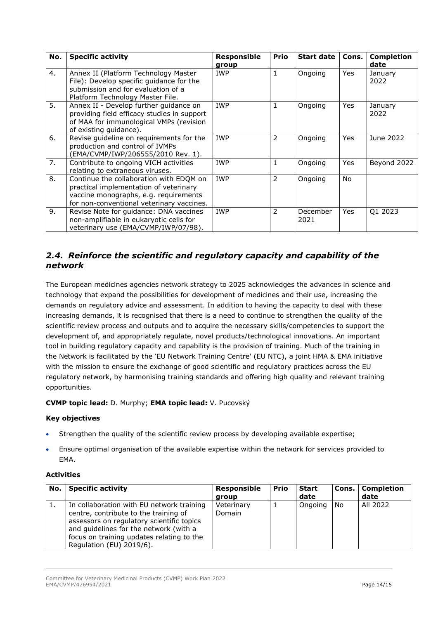| No. | <b>Specific activity</b>                                                                                                                                                | Responsible<br>group | <b>Prio</b>    | <b>Start date</b> | Cons.      | <b>Completion</b><br>date |
|-----|-------------------------------------------------------------------------------------------------------------------------------------------------------------------------|----------------------|----------------|-------------------|------------|---------------------------|
| 4.  | Annex II (Platform Technology Master<br>File): Develop specific quidance for the<br>submission and for evaluation of a<br>Platform Technology Master File.              | <b>IWP</b>           | 1              | Ongoing           | Yes        | January<br>2022           |
| 5.  | Annex II - Develop further guidance on<br>providing field efficacy studies in support<br>of MAA for immunological VMPs (revision<br>of existing guidance).              | <b>IWP</b>           | 1              | Ongoing           | <b>Yes</b> | January<br>2022           |
| 6.  | Revise guideline on requirements for the<br>production and control of IVMPs<br>EMA/CVMP/IWP/206555/2010 Rev. 1).                                                        | <b>IWP</b>           | $\overline{2}$ | Ongoing           | Yes        | June 2022                 |
| 7.  | Contribute to ongoing VICH activities<br>relating to extraneous viruses.                                                                                                | <b>IWP</b>           | 1              | Ongoing           | Yes        | Beyond 2022               |
| 8.  | Continue the collaboration with EDQM on<br>practical implementation of veterinary<br>vaccine monographs, e.g. requirements<br>for non-conventional veterinary vaccines. | <b>IWP</b>           | 2              | Ongoing           | <b>No</b>  |                           |
| 9.  | Revise Note for guidance: DNA vaccines<br>non-amplifiable in eukaryotic cells for<br>veterinary use (EMA/CVMP/IWP/07/98).                                               | <b>IWP</b>           | 2              | December<br>2021  | Yes        | Q1 2023                   |

## <span id="page-13-0"></span>*2.4. Reinforce the scientific and regulatory capacity and capability of the network*

The European medicines agencies network strategy to 2025 acknowledges the advances in science and technology that expand the possibilities for development of medicines and their use, increasing the demands on regulatory advice and assessment. In addition to having the capacity to deal with these increasing demands, it is recognised that there is a need to continue to strengthen the quality of the scientific review process and outputs and to acquire the necessary skills/competencies to support the development of, and appropriately regulate, novel products/technological innovations. An important tool in building regulatory capacity and capability is the provision of training. Much of the training in the Network is facilitated by the 'EU Network Training Centre' (EU NTC), a joint HMA & EMA initiative with the mission to ensure the exchange of good scientific and regulatory practices across the EU regulatory network, by harmonising training standards and offering high quality and relevant training opportunities.

#### **CVMP topic lead:** D. Murphy; **EMA topic lead:** V. Pucovský

#### **Key objectives**

- Strengthen the quality of the scientific review process by developing available expertise;
- Ensure optimal organisation of the available expertise within the network for services provided to EMA.

| No. l     | <b>Specific activity</b>                                                                                                                                                                                                                           | Responsible          | Prio | Start   |     | Cons.   Completion |
|-----------|----------------------------------------------------------------------------------------------------------------------------------------------------------------------------------------------------------------------------------------------------|----------------------|------|---------|-----|--------------------|
|           |                                                                                                                                                                                                                                                    | group                |      | date    |     | date               |
| <b>1.</b> | In collaboration with EU network training<br>centre, contribute to the training of<br>assessors on regulatory scientific topics<br>and guidelines for the network (with a<br>focus on training updates relating to the<br>Regulation (EU) 2019/6). | Veterinary<br>Domain |      | Ongoing | No. | All 2022           |